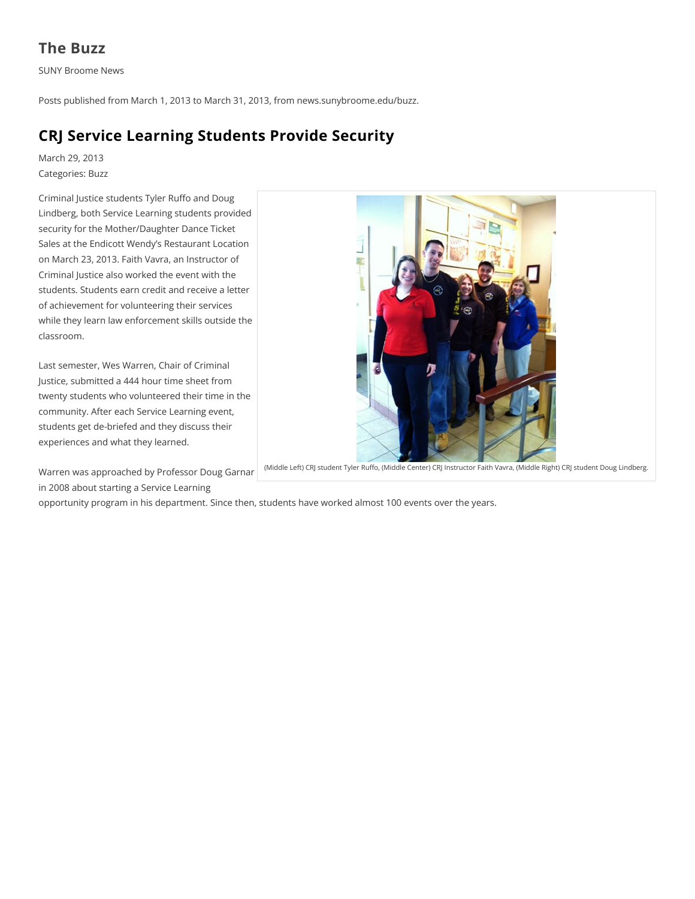## **The Buzz**

**SUNY Broome News** 

Posts published from March 1, 2013 to March 31, 2013, from news.sunybroome.edu/buzz.

# **CRJ Service Learning Students Provide Security**

March 29, 2013 Categories: Buzz

Criminal Justice students Tyler Ruffo and Doug Lindberg, both Service Learning students provided security for the Mother/Daughter Dance Ticket Sales at the Endicott Wendy's Restaurant Location on March 23, 2013. Faith Vavra, an Instructor of Criminal Justice also worked the event with the students. Students earn credit and receive a letter of achievement for volunteering their services while they learn law enforcement skills outside the classroom.

Last semester, Wes Warren, Chair of Criminal Justice, submitted a 444 hour time sheet from twenty students who volunteered their time in the community. After each Service Learning event, students get de-briefed and they discuss their experiences and what they learned.

(Middle Left) CRJ student Tyler Ruffo, (Middle Center) CRJ Instructor Faith Vavra, (Middle Right) CRJ student Doug Lindberg.

Warren was approached by Professor Doug Garnar in 2008 about starting a Service Learning

opportunity program in his department. Since then, students have worked almost 100 events over the years.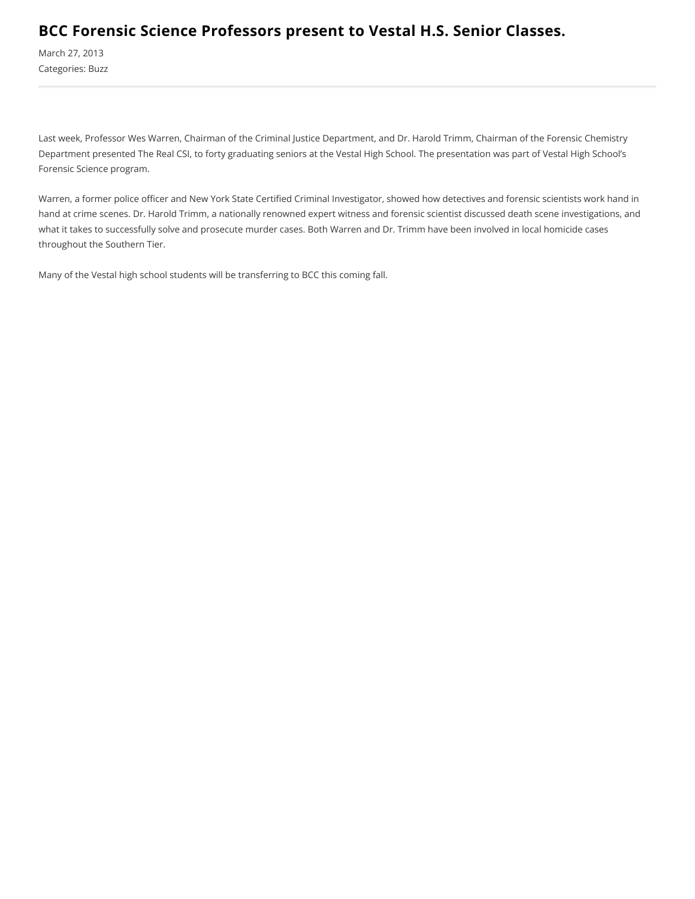#### BCC Forensic Science Professors present to Vestal H.S. Senior Classes.

March 27, 2013 Categories: Buzz

Last week, Professor Wes Warren, Chairman of the Criminal Justice Department, and Dr. Harold Trimm, Chairman of the Forensic Chemistry Department presented The Real CSI, to forty graduating seniors at the Vestal High School. The presentation was part of Vestal High School's Forensic Science program.

Warren, a former police officer and New York State Certified Criminal Investigator, showed how detectives and forensic scientists work hand in hand at crime scenes. Dr. Harold Trimm, a nationally renowned expert witness and forensic scientist discussed death scene investigations, and what it takes to successfully solve and prosecute murder cases. Both Warren and Dr. Trimm have been involved in local homicide cases throughout the Southern Tier.

Many of the Vestal high school students will be transferring to BCC this coming fall.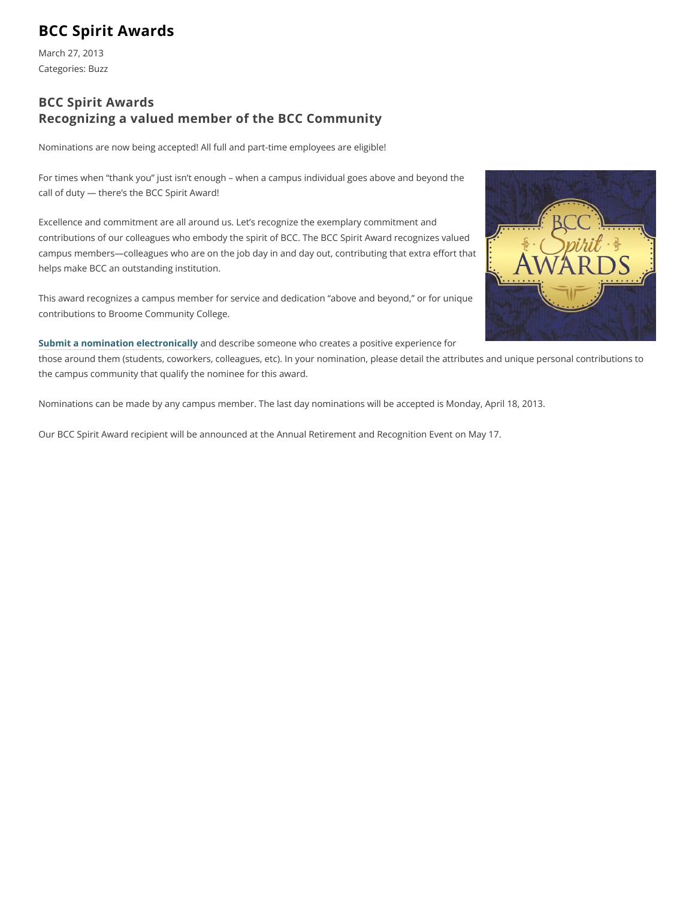## **BCC Spirit Awards**

March 27, 2013 Categories: Buzz

#### **BCC Spirit Awards** Recognizing a valued member of the BCC Community

Nominations are now being accepted! All full and part-time employees are eligible!

For times when "thank you" just isn't enough - when a campus individual goes above and beyond the call of duty - there's the BCC Spirit Award!

Excellence and commitment are all around us. Let's recognize the exemplary commitment and contributions of our colleagues who embody the spirit of BCC. The BCC Spirit Award recognizes valued campus members-colleagues who are on the job day in and day out, contributing that extra effort that helps make BCC an outstanding institution.

This award recognizes a campus member for service and dedication "above and beyond," or for unique contributions to Broome Community College.

Submit a nomination electronically and describe someone who creates a positive experience for those around them (students, coworkers, colleagues, etc). In your nomination, please detail the attributes and unique personal contributions to the campus community that qualify the nominee for this award.

Nominations can be made by any campus member. The last day nominations will be accepted is Monday, April 18, 2013.

Our BCC Spirit Award recipient will be announced at the Annual Retirement and Recognition Event on May 17.

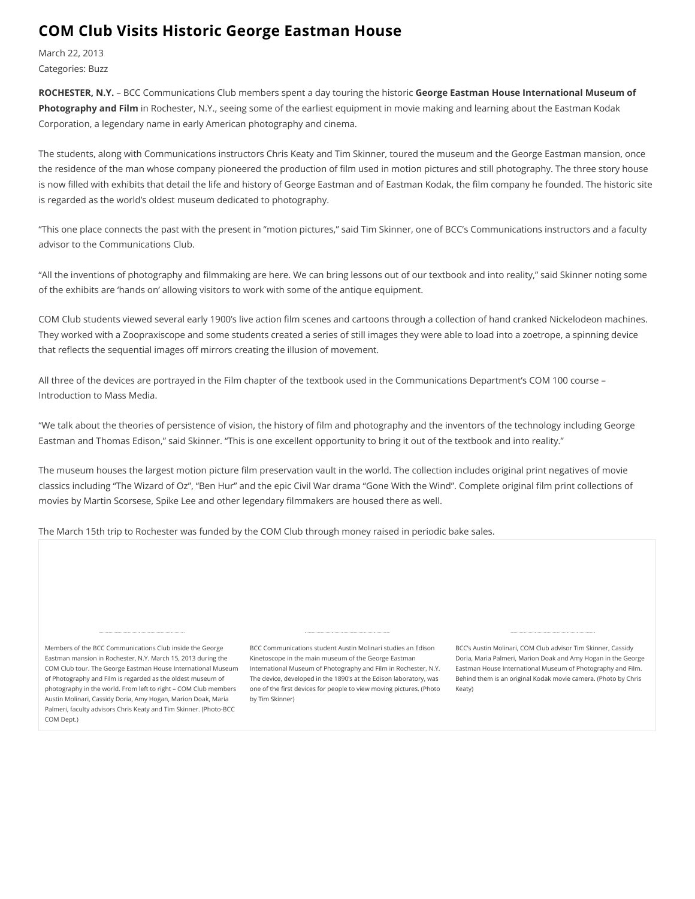#### **COM Club Visits Historic George Eastman House**

March 22, 2013 Categories: Buzz

ROCHESTER, N.Y. - BCC Communications Club members spent a day touring the historic George Eastman House International Museum of Photography and Film in Rochester, N.Y., seeing some of the earliest equipment in movie making and learning about the Eastman Kodak Corporation, a legendary name in early American photography and cinema.

The students, along with Communications instructors Chris Keaty and Tim Skinner, toured the museum and the George Eastman mansion, once the residence of the man whose company pioneered the production of film used in motion pictures and still photography. The three story house is now filled with exhibits that detail the life and history of George Eastman and of Eastman Kodak, the film company he founded. The historic site is regarded as the world's oldest museum dedicated to photography.

"This one place connects the past with the present in "motion pictures," said Tim Skinner, one of BCC's Communications instructors and a faculty advisor to the Communications Club.

"All the inventions of photography and filmmaking are here. We can bring lessons out of our textbook and into reality," said Skinner noting some of the exhibits are 'hands on' allowing visitors to work with some of the antique equipment.

COM Club students viewed several early 1900's live action film scenes and cartoons through a collection of hand cranked Nickelodeon machines. They worked with a Zoopraxiscope and some students created a series of still images they were able to load into a zoetrope, a spinning device that reflects the sequential images off mirrors creating the illusion of movement.

All three of the devices are portrayed in the Film chapter of the textbook used in the Communications Department's COM 100 course -Introduction to Mass Media.

"We talk about the theories of persistence of vision, the history of film and photography and the inventors of the technology including George Eastman and Thomas Edison," said Skinner. "This is one excellent opportunity to bring it out of the textbook and into reality."

The museum houses the largest motion picture film preservation vault in the world. The collection includes original print negatives of movie classics including "The Wizard of Oz", "Ben Hur" and the epic Civil War drama "Gone With the Wind". Complete original film print collections of movies by Martin Scorsese, Spike Lee and other legendary filmmakers are housed there as well.

The March 15th trip to Rochester was funded by the COM Club through money raised in periodic bake sales.

Members of the BCC Communications Club inside the George Eastman mansion in Rochester, N.Y. March 15, 2013 during the COM Club tour. The George Eastman House International Museum International Museum of Photography and Film in Rochester, N.Y. Eastman House International Museum of Photography and Film. of Photography and Film is regarded as the oldest museum of photography in the world. From left to right - COM Club members Austin Molinari, Cassidy Doria, Amy Hogan, Marion Doak, Maria Palmeri, faculty advisors Chris Keaty and Tim Skinner. (Photo-BCC COM Dept.)

BCC Communications student Austin Molinari studies an Edison Kinetoscope in the main museum of the George Eastman The device, developed in the 1890's at the Edison laboratory, was one of the first devices for people to view moving pictures. (Photo by Tim Skinner)

BCC's Austin Molinari, COM Club advisor Tim Skinner, Cassidy Doria, Maria Palmeri, Marion Doak and Amy Hogan in the George Behind them is an original Kodak movie camera. (Photo by Chris Keaty)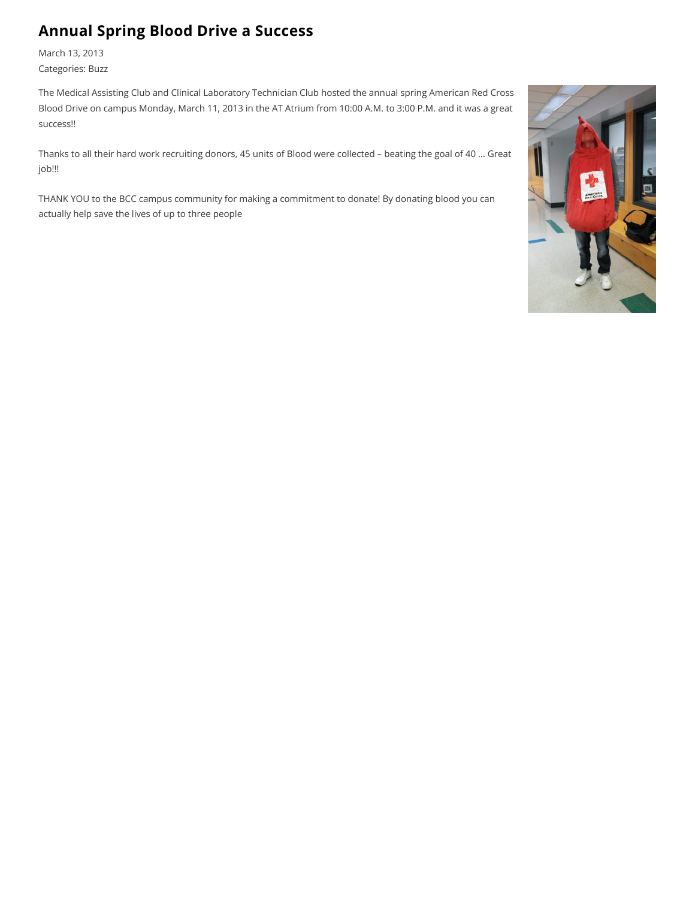# **Annual Spring Blood Drive a Success**

March 13, 2013 Categories: Buzz

The Medical Assisting Club and Clinical Laboratory Technician Club hosted the annual spring American Red Cross Blood Drive on campus Monday, March 11, 2013 in the AT Atrium from 10:00 A.M. to 3:00 P.M. and it was a great success!!

Thanks to all their hard work recruiting donors, 45 units of Blood were collected - beating the goal of 40 ... Great job!!!

THANK YOU to the BCC campus community for making a commitment to donate! By donating blood you can actually help save the lives of up to three people

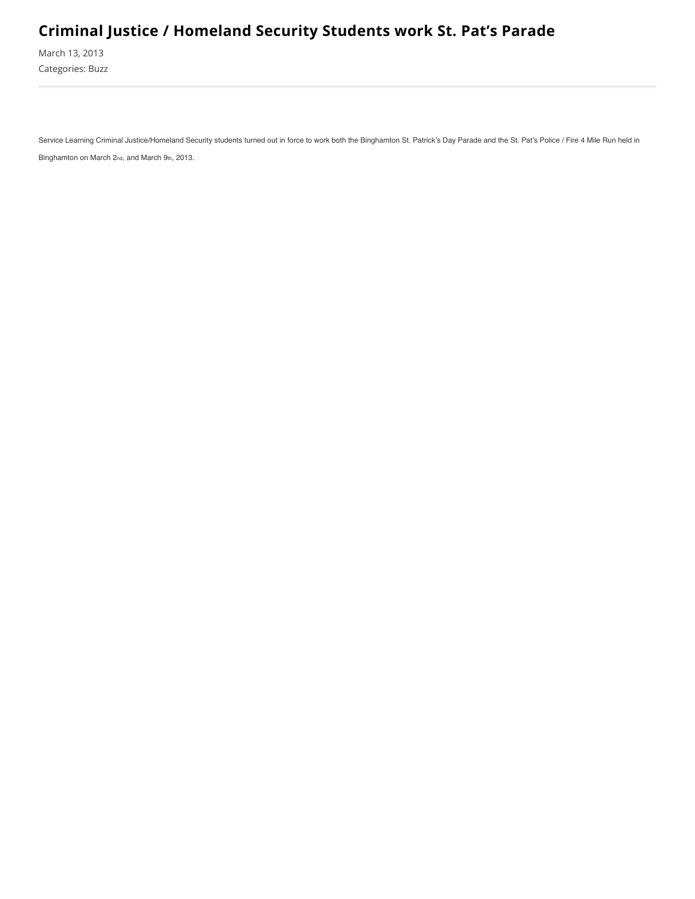# **Criminal Justice / Homeland Security Students work St. Pat's Parade**

March 13, 2013 Categories: Buzz

Service Learning Criminal Justice/Homeland Security students turned out in force to work both the Binghamton St. Patrick's Day Parade and the St. Pat's Police / Fire 4 Mile Run held in Binghamton on March 2nd, and March 9th, 2013.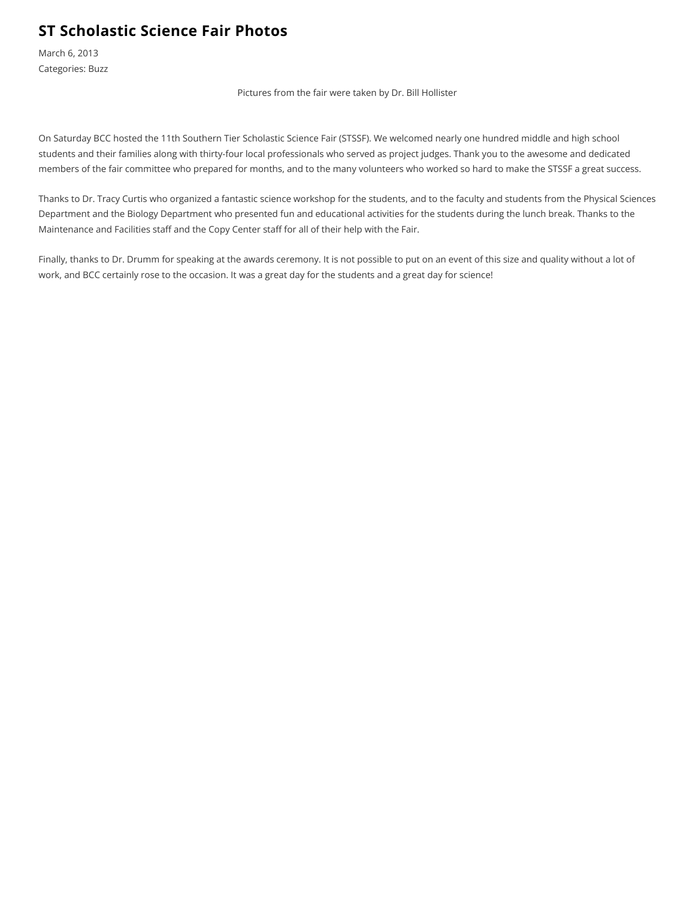## **ST Scholastic Science Fair Photos**

March 6, 2013 Categories: Buzz

Pictures from the fair were taken by Dr. Bill Hollister

On Saturday BCC hosted the 11th Southern Tier Scholastic Science Fair (STSSF). We welcomed nearly one hundred middle and high school students and their families along with thirty-four local professionals who served as project judges. Thank you to the awesome and dedicated members of the fair committee who prepared for months, and to the many volunteers who worked so hard to make the STSSF a great success.

Thanks to Dr. Tracy Curtis who organized a fantastic science workshop for the students, and to the faculty and students from the Physical Sciences Department and the Biology Department who presented fun and educational activities for the students during the lunch break. Thanks to the Maintenance and Facilities staff and the Copy Center staff for all of their help with the Fair.

Finally, thanks to Dr. Drumm for speaking at the awards ceremony. It is not possible to put on an event of this size and quality without a lot of work, and BCC certainly rose to the occasion. It was a great day for the students and a great day for science!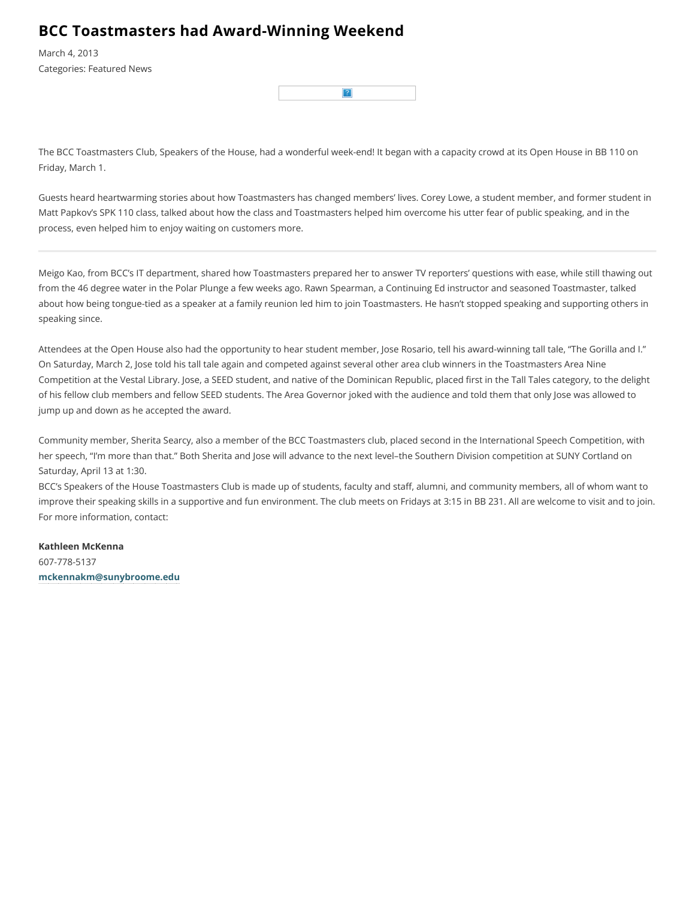#### **BCC Toastmasters had Award-Winning Weekend**

March 4, 2013 **Categories: Featured News** 

The BCC Toastmasters Club, Speakers of the House, had a wonderful week-end! It began with a capacity crowd at its Open House in BB 110 on Friday, March 1.

Guests heard heartwarming stories about how Toastmasters has changed members' lives. Corey Lowe, a student member, and former student in Matt Papkov's SPK 110 class, talked about how the class and Toastmasters helped him overcome his utter fear of public speaking, and in the process, even helped him to enjoy waiting on customers more.

Meigo Kao, from BCC's IT department, shared how Toastmasters prepared her to answer TV reporters' questions with ease, while still thawing out from the 46 degree water in the Polar Plunge a few weeks ago. Rawn Spearman, a Continuing Ed instructor and seasoned Toastmaster, talked about how being tongue-tied as a speaker at a family reunion led him to join Toastmasters. He hasn't stopped speaking and supporting others in speaking since.

Attendees at the Open House also had the opportunity to hear student member, Jose Rosario, tell his award-winning tall tale, "The Gorilla and I." On Saturday, March 2, Jose told his tall tale again and competed against several other area club winners in the Toastmasters Area Nine Competition at the Vestal Library. Jose, a SEED student, and native of the Dominican Republic, placed first in the Tall Tales category, to the delight of his fellow club members and fellow SEED students. The Area Governor joked with the audience and told them that only Jose was allowed to jump up and down as he accepted the award.

Community member, Sherita Searcy, also a member of the BCC Toastmasters club, placed second in the International Speech Competition, with her speech, "I'm more than that." Both Sherita and Jose will advance to the next level-the Southern Division competition at SUNY Cortland on Saturday, April 13 at 1:30.

BCC's Speakers of the House Toastmasters Club is made up of students, faculty and staff, alumni, and community members, all of whom want to improve their speaking skills in a supportive and fun environment. The club meets on Fridays at 3:15 in BB 231. All are welcome to visit and to join. For more information, contact:

Kathleen McKenna 607-778-5137 mckennakm@sunybroome.edu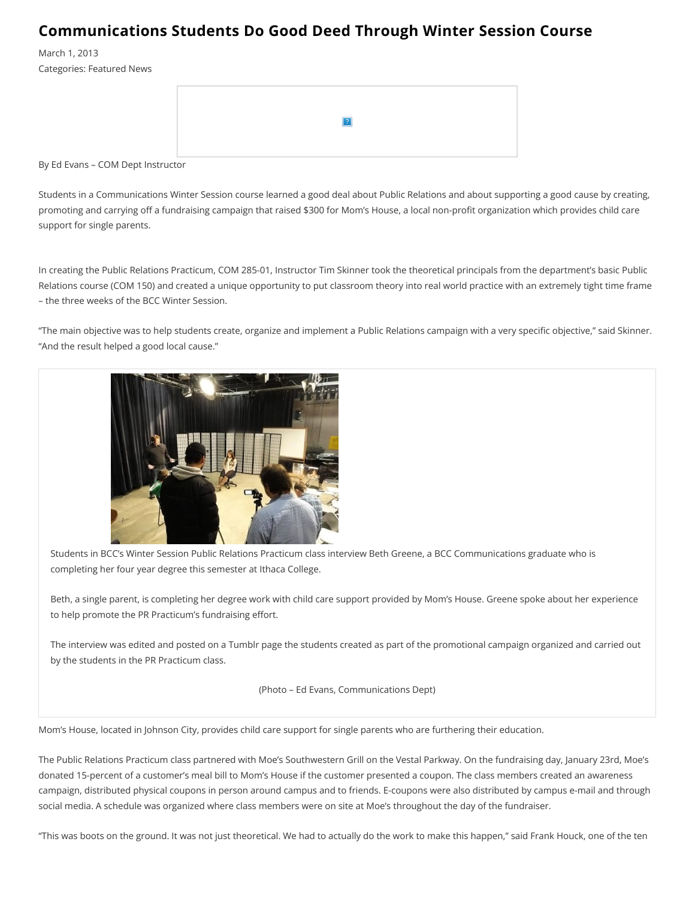#### **Communications Students Do Good Deed Through Winter Session Course**

March 1, 2013 Categories: Featured News

By Ed Evans - COM Dept Instructor

Students in a Communications Winter Session course learned a good deal about Public Relations and about supporting a good cause by creating, promoting and carrying off a fundraising campaign that raised \$300 for Mom's House, a local non-profit organization which provides child care support for single parents.

In creating the Public Relations Practicum, COM 285-01, Instructor Tim Skinner took the theoretical principals from the department's basic Public Relations course (COM 150) and created a unique opportunity to put classroom theory into real world practice with an extremely tight time frame - the three weeks of the BCC Winter Session.

"The main objective was to help students create, organize and implement a Public Relations campaign with a very specific objective," said Skinner. "And the result helped a good local cause."



Students in BCC's Winter Session Public Relations Practicum class interview Beth Greene, a BCC Communications graduate who is completing her four year degree this semester at Ithaca College.

Beth, a single parent, is completing her degree work with child care support provided by Mom's House. Greene spoke about her experience to help promote the PR Practicum's fundraising effort.

The interview was edited and posted on a Tumblr page the students created as part of the promotional campaign organized and carried out by the students in the PR Practicum class.

(Photo - Ed Evans, Communications Dept)

Mom's House, located in Johnson City, provides child care support for single parents who are furthering their education.

The Public Relations Practicum class partnered with Moe's Southwestern Grill on the Vestal Parkway. On the fundraising day, January 23rd, Moe's donated 15-percent of a customer's meal bill to Mom's House if the customer presented a coupon. The class members created an awareness campaign, distributed physical coupons in person around campus and to friends. E-coupons were also distributed by campus e-mail and through social media. A schedule was organized where class members were on site at Moe's throughout the day of the fundraiser.

"This was boots on the ground. It was not just theoretical. We had to actually do the work to make this happen," said Frank Houck, one of the ten